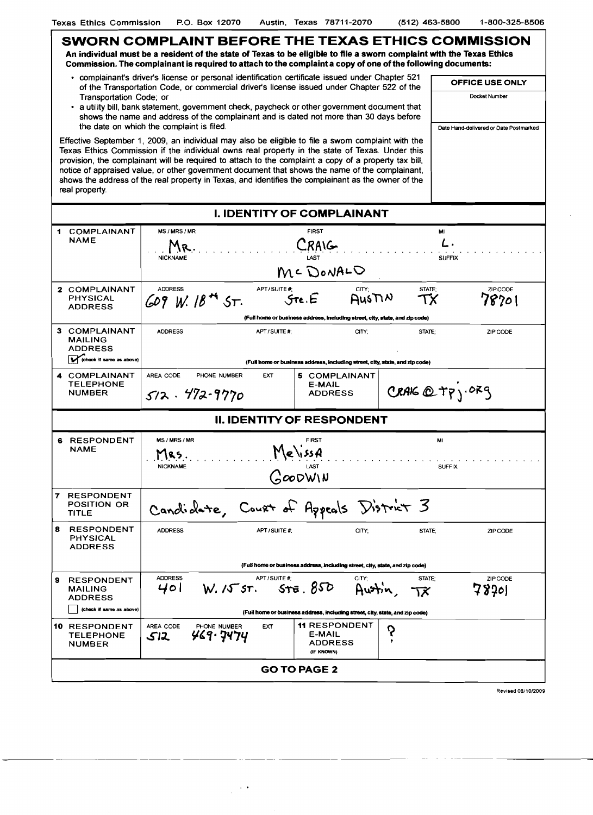| SWORN COMPLAINT BEFORE THE TEXAS ETHICS COMMISSION<br>An individual must be a resident of the state of Texas to be eligible to file a sworn complaint with the Texas Ethics<br>Commission. The complainant is required to attach to the complaint a copy of one of the following documents: |                                                                                                                                                                                                                                                                                                                                                                                                                                                                                                                                          |                                                                              |                           |  |  |  |  |  |  |
|---------------------------------------------------------------------------------------------------------------------------------------------------------------------------------------------------------------------------------------------------------------------------------------------|------------------------------------------------------------------------------------------------------------------------------------------------------------------------------------------------------------------------------------------------------------------------------------------------------------------------------------------------------------------------------------------------------------------------------------------------------------------------------------------------------------------------------------------|------------------------------------------------------------------------------|---------------------------|--|--|--|--|--|--|
|                                                                                                                                                                                                                                                                                             | · complainant's driver's license or personal identification certificate issued under Chapter 521                                                                                                                                                                                                                                                                                                                                                                                                                                         | <b>OFFICE USE ONLY</b>                                                       |                           |  |  |  |  |  |  |
|                                                                                                                                                                                                                                                                                             | of the Transportation Code, or commercial driver's license issued under Chapter 522 of the<br>Transportation Code; or                                                                                                                                                                                                                                                                                                                                                                                                                    | Docket Number                                                                |                           |  |  |  |  |  |  |
|                                                                                                                                                                                                                                                                                             | • a utility bill, bank statement, govemment check, paycheck or other government document that                                                                                                                                                                                                                                                                                                                                                                                                                                            |                                                                              |                           |  |  |  |  |  |  |
|                                                                                                                                                                                                                                                                                             | shows the name and address of the complainant and is dated not more than 30 days before<br>the date on which the complaint is filed.                                                                                                                                                                                                                                                                                                                                                                                                     | Date Hand-delivered or Date Postmarked                                       |                           |  |  |  |  |  |  |
|                                                                                                                                                                                                                                                                                             |                                                                                                                                                                                                                                                                                                                                                                                                                                                                                                                                          |                                                                              |                           |  |  |  |  |  |  |
|                                                                                                                                                                                                                                                                                             | Effective September 1, 2009, an individual may also be eligible to file a swom complaint with the<br>Texas Ethics Commission if the individual owns real property in the state of Texas. Under this<br>provision, the complainant will be required to attach to the complaint a copy of a property tax bill,<br>notice of appraised value, or other government document that shows the name of the complainant,<br>shows the address of the real property in Texas, and identifies the complainant as the owner of the<br>real property. |                                                                              |                           |  |  |  |  |  |  |
| <b>I. IDENTITY OF COMPLAINANT</b>                                                                                                                                                                                                                                                           |                                                                                                                                                                                                                                                                                                                                                                                                                                                                                                                                          |                                                                              |                           |  |  |  |  |  |  |
|                                                                                                                                                                                                                                                                                             | 1 COMPLAINANT                                                                                                                                                                                                                                                                                                                                                                                                                                                                                                                            | MS / MRS / MR<br><b>FIRST</b>                                                | MI                        |  |  |  |  |  |  |
|                                                                                                                                                                                                                                                                                             | <b>NAME</b>                                                                                                                                                                                                                                                                                                                                                                                                                                                                                                                              | <b>RAIG</b>                                                                  | L.                        |  |  |  |  |  |  |
|                                                                                                                                                                                                                                                                                             |                                                                                                                                                                                                                                                                                                                                                                                                                                                                                                                                          | <b>NICKNAME</b>                                                              | <b>SUFFIX</b>             |  |  |  |  |  |  |
|                                                                                                                                                                                                                                                                                             |                                                                                                                                                                                                                                                                                                                                                                                                                                                                                                                                          | MC DONALO                                                                    |                           |  |  |  |  |  |  |
|                                                                                                                                                                                                                                                                                             | 2 COMPLAINANT                                                                                                                                                                                                                                                                                                                                                                                                                                                                                                                            | APT/SUITE #<br>CITY;<br><b>ADDRESS</b><br>STATE;                             | ZIP CODE                  |  |  |  |  |  |  |
|                                                                                                                                                                                                                                                                                             | <b>PHYSICAL</b><br><b>ADDRESS</b>                                                                                                                                                                                                                                                                                                                                                                                                                                                                                                        | $609$ W. $184$ ST.<br>ТХ                                                     | 78701                     |  |  |  |  |  |  |
|                                                                                                                                                                                                                                                                                             |                                                                                                                                                                                                                                                                                                                                                                                                                                                                                                                                          | (Full home or business address, including street, city, state, and zip code) |                           |  |  |  |  |  |  |
|                                                                                                                                                                                                                                                                                             | 3 COMPLAINANT<br><b>MAILING</b><br><b>ADDRESS</b>                                                                                                                                                                                                                                                                                                                                                                                                                                                                                        | <b>ADDRESS</b><br>APT/SUITE #:<br>CITY:<br>STATE:                            | ZIP CODE                  |  |  |  |  |  |  |
|                                                                                                                                                                                                                                                                                             |                                                                                                                                                                                                                                                                                                                                                                                                                                                                                                                                          |                                                                              |                           |  |  |  |  |  |  |
|                                                                                                                                                                                                                                                                                             | (check if same as above)                                                                                                                                                                                                                                                                                                                                                                                                                                                                                                                 | (Full home or business address, including street, city, state, and zip code) |                           |  |  |  |  |  |  |
|                                                                                                                                                                                                                                                                                             | 4 COMPLAINANT                                                                                                                                                                                                                                                                                                                                                                                                                                                                                                                            | AREA CODE<br>PHONE NUMBER<br><b>EXT</b><br>5 COMPLAINANT                     |                           |  |  |  |  |  |  |
|                                                                                                                                                                                                                                                                                             | <b>TELEPHONE</b>                                                                                                                                                                                                                                                                                                                                                                                                                                                                                                                         | E-MAIL                                                                       | CRAIG $Q$ TP $j$ . OR $g$ |  |  |  |  |  |  |
|                                                                                                                                                                                                                                                                                             | <b>NUMBER</b>                                                                                                                                                                                                                                                                                                                                                                                                                                                                                                                            | $512.472 - 9770$<br><b>ADDRESS</b>                                           |                           |  |  |  |  |  |  |
|                                                                                                                                                                                                                                                                                             |                                                                                                                                                                                                                                                                                                                                                                                                                                                                                                                                          | <b>II. IDENTITY OF RESPONDENT</b>                                            |                           |  |  |  |  |  |  |
|                                                                                                                                                                                                                                                                                             | <b>6 RESPONDENT</b><br><b>NAME</b>                                                                                                                                                                                                                                                                                                                                                                                                                                                                                                       | MS / MRS / MR                                                                | MI                        |  |  |  |  |  |  |
|                                                                                                                                                                                                                                                                                             |                                                                                                                                                                                                                                                                                                                                                                                                                                                                                                                                          | MelissA<br>MRS.                                                              |                           |  |  |  |  |  |  |
|                                                                                                                                                                                                                                                                                             |                                                                                                                                                                                                                                                                                                                                                                                                                                                                                                                                          | LAST<br><b>NICKNAME</b><br><b>SUFFIX</b>                                     |                           |  |  |  |  |  |  |
|                                                                                                                                                                                                                                                                                             |                                                                                                                                                                                                                                                                                                                                                                                                                                                                                                                                          | GOODWIN                                                                      |                           |  |  |  |  |  |  |
|                                                                                                                                                                                                                                                                                             | <b>7 RESPONDENT</b>                                                                                                                                                                                                                                                                                                                                                                                                                                                                                                                      |                                                                              |                           |  |  |  |  |  |  |
|                                                                                                                                                                                                                                                                                             | <b>POSITION OR</b><br>TITLE                                                                                                                                                                                                                                                                                                                                                                                                                                                                                                              | Candidate, Court of Appeals District 3                                       |                           |  |  |  |  |  |  |
| 8                                                                                                                                                                                                                                                                                           | <b>RESPONDENT</b>                                                                                                                                                                                                                                                                                                                                                                                                                                                                                                                        | <b>ADDRESS</b><br>APT / SUITE #:                                             | ZIP CODE                  |  |  |  |  |  |  |
|                                                                                                                                                                                                                                                                                             | <b>PHYSICAL</b>                                                                                                                                                                                                                                                                                                                                                                                                                                                                                                                          | CITY:<br>STATE;                                                              |                           |  |  |  |  |  |  |
|                                                                                                                                                                                                                                                                                             | <b>ADDRESS</b>                                                                                                                                                                                                                                                                                                                                                                                                                                                                                                                           |                                                                              |                           |  |  |  |  |  |  |
|                                                                                                                                                                                                                                                                                             |                                                                                                                                                                                                                                                                                                                                                                                                                                                                                                                                          |                                                                              |                           |  |  |  |  |  |  |
| 9                                                                                                                                                                                                                                                                                           | <b>RESPONDENT</b>                                                                                                                                                                                                                                                                                                                                                                                                                                                                                                                        | <b>ADDRESS</b><br>APT/SUITE #:<br>CITY:<br>STATE:                            | ZIP CODE                  |  |  |  |  |  |  |
|                                                                                                                                                                                                                                                                                             | <b>MAILING</b><br><b>ADDRESS</b>                                                                                                                                                                                                                                                                                                                                                                                                                                                                                                         | 578.850<br>401<br>W.155<br>١Χ                                                | 78701                     |  |  |  |  |  |  |
|                                                                                                                                                                                                                                                                                             | (check if same as above)                                                                                                                                                                                                                                                                                                                                                                                                                                                                                                                 | (Full home or business address, including street, city, state, and zip code) |                           |  |  |  |  |  |  |
|                                                                                                                                                                                                                                                                                             | 10 RESPONDENT                                                                                                                                                                                                                                                                                                                                                                                                                                                                                                                            | <b>11 RESPONDENT</b><br>AREA CODE<br>PHONE NUMBER<br>EXT                     |                           |  |  |  |  |  |  |
|                                                                                                                                                                                                                                                                                             | <b>TELEPHONE</b>                                                                                                                                                                                                                                                                                                                                                                                                                                                                                                                         | ၃<br>ሃሬ9• ዓዛንዛ<br>E-MAIL<br>512                                              |                           |  |  |  |  |  |  |
|                                                                                                                                                                                                                                                                                             | <b>NUMBER</b>                                                                                                                                                                                                                                                                                                                                                                                                                                                                                                                            | <b>ADDRESS</b><br>(IF KNOWN)                                                 |                           |  |  |  |  |  |  |
| <b>GO TO PAGE 2</b>                                                                                                                                                                                                                                                                         |                                                                                                                                                                                                                                                                                                                                                                                                                                                                                                                                          |                                                                              |                           |  |  |  |  |  |  |

-------- --------

 $\frac{1}{2}$  ,  $\frac{1}{2}$ 

Revised *06110/2009*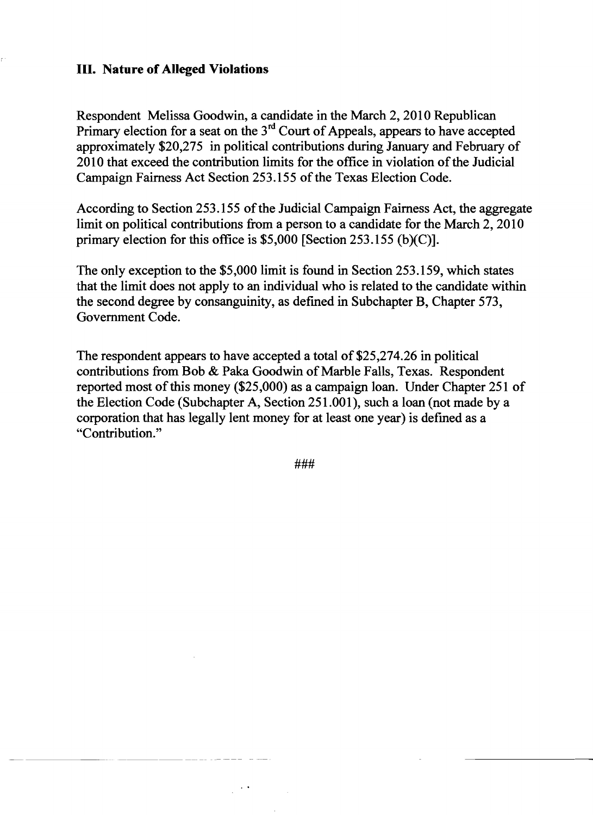## **III. Nature of Alleged Violations**

Respondent Melissa Goodwin, a candidate in the March 2,2010 Republican Primary election for a seat on the  $3<sup>rd</sup>$  Court of Appeals, appears to have accepted approximately \$20,275 in political contributions during January and February of 2010 that exceed the contribution limits for the office in violation of the Judicial Campaign Fairness Act Section 253.155 of the Texas Election Code.

According to Section 253.155 of the Judicial Campaign Fairness Act, the aggregate limit on political contributions from a person to a candidate for the March 2, 2010 primary election for this office is \$5,000 [Section 253.155 (b)(C)].

The only exception to the \$5,000 limit is found in Section 253.159, which states that the limit does not apply to an individual who is related to the candidate within the second degree by consanguinity, as defmed in Subchapter B, Chapter 573, Government Code.

The respondent appears to have accepted a total of \$25,274.26 in political contributions from Bob & Paka Goodwin of Marble Falls, Texas. Respondent reported most of this money (\$25,000) as a campaign loan. Under Chapter 251 of the Election Code (Subchapter A, Section 251.001), such a loan (not made by a corporation that has legally lent money for at least one year) is defmed as a "Contribution."

###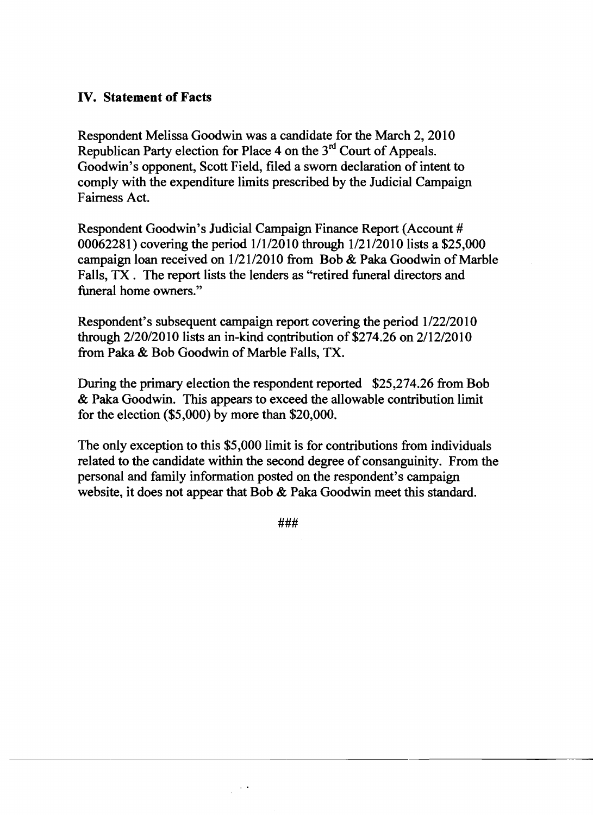# **IV. Statement of Facts**

Respondent Melissa Goodwin was a candidate for the March 2, 2010 Republican Party election for Place 4 on the 3<sup>rd</sup> Court of Appeals. Goodwin's opponent, Scott Field, filed a sworn declaration of intent to comply with the expenditure limits prescribed by the Judicial Campaign Fairness Act.

Respondent Goodwin's Judicial Campaign Finance Report (Account # 00062281) covering the period 1/1/2010 through 1/21/2010 lists a \$25,000 campaign loan received on  $1/21/2010$  from Bob & Paka Goodwin of Marble Falls, TX. The report lists the lenders as "retired funeral directors and funeral home owners."

Respondent's subsequent campaign report covering the period 1/22/2010 through  $2/20/2010$  lists an in-kind contribution of \$274.26 on  $2/12/2010$ from Paka & Bob Goodwin of Marble Falls, TX.

During the primary election the respondent reported \$25,274.26 from Bob & Paka Goodwin. This appears to exceed the allowable contribution limit for the election (\$5,000) by more than \$20,000.

The only exception to this \$5,000 limit is for contributions from individuals related to the candidate within the second degree of consanguinity. From the personal and family information posted on the respondent's campaign website, it does not appear that Bob & Paka Goodwin meet this standard.

###

 $\sim$   $\sim$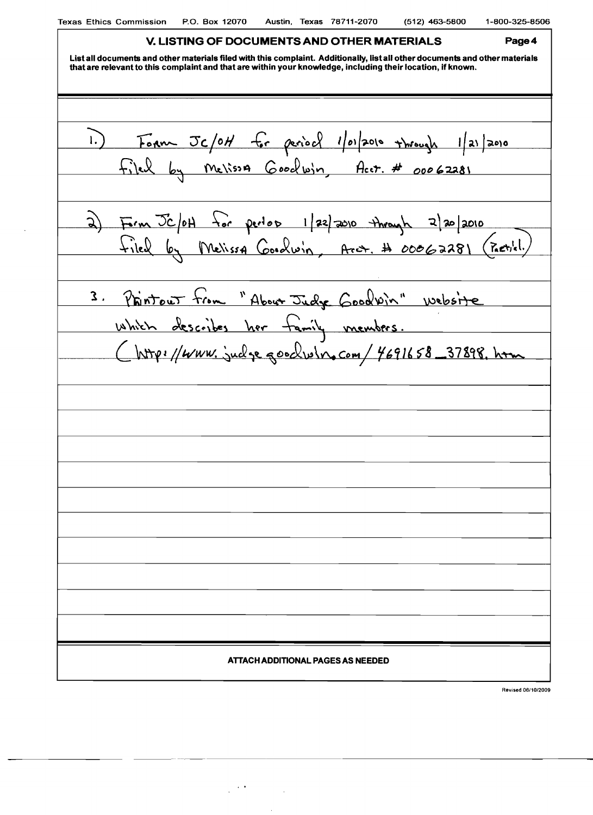$\sim 10^{-1}$ 

| <u>V. LISTING OF DOCUMENTS AND OTHER MATERIALS</u><br>Page 4                                                                                                                                                                                |
|---------------------------------------------------------------------------------------------------------------------------------------------------------------------------------------------------------------------------------------------|
| List all documents and other materials filed with this complaint. Additionally, list all other documents and other materials<br>that are relevant to this complaint and that are within your knowledge, including their location, if known. |
|                                                                                                                                                                                                                                             |
|                                                                                                                                                                                                                                             |
| 1.) Form Jc/0H for period 1/01/2010 through 1/21/2010                                                                                                                                                                                       |
| Filed by Melissa Goodwin, Acct. # 00062281                                                                                                                                                                                                  |
|                                                                                                                                                                                                                                             |
|                                                                                                                                                                                                                                             |
| 2) From Jc/0H for pertos 1/22/2010 through 2/20/2010<br>Filed by Melissa Cooolwin, Arct, # 00062281 (Pactile!)                                                                                                                              |
|                                                                                                                                                                                                                                             |
|                                                                                                                                                                                                                                             |
| 3. Phintout from "About Judge Goodvin" website                                                                                                                                                                                              |
| which describes her family members.                                                                                                                                                                                                         |
| Chttp://www.judgegoodwin.com/4691658_37898.htm                                                                                                                                                                                              |
|                                                                                                                                                                                                                                             |
|                                                                                                                                                                                                                                             |
|                                                                                                                                                                                                                                             |
|                                                                                                                                                                                                                                             |
|                                                                                                                                                                                                                                             |
|                                                                                                                                                                                                                                             |
|                                                                                                                                                                                                                                             |
|                                                                                                                                                                                                                                             |
|                                                                                                                                                                                                                                             |
|                                                                                                                                                                                                                                             |
|                                                                                                                                                                                                                                             |
|                                                                                                                                                                                                                                             |
|                                                                                                                                                                                                                                             |
| ATTACH ADDITIONAL PAGES AS NEEDED                                                                                                                                                                                                           |
| Revised 06/10/2009                                                                                                                                                                                                                          |

 $\label{eq:2} \frac{1}{2}\sum_{i=1}^n\frac{1}{2}\sum_{i=1}^n\frac{1}{2}\sum_{j=1}^n\frac{1}{2}\sum_{i=1}^n\frac{1}{2}\sum_{i=1}^n\frac{1}{2}\sum_{j=1}^n\frac{1}{2}\sum_{i=1}^n\frac{1}{2}\sum_{j=1}^n\frac{1}{2}\sum_{i=1}^n\frac{1}{2}\sum_{i=1}^n\frac{1}{2}\sum_{j=1}^n\frac{1}{2}\sum_{j=1}^n\frac{1}{2}\sum_{i=1}^n\frac{1}{2}\sum_{i=1}^n\frac{$ 

 $\bar{\mathcal{A}}$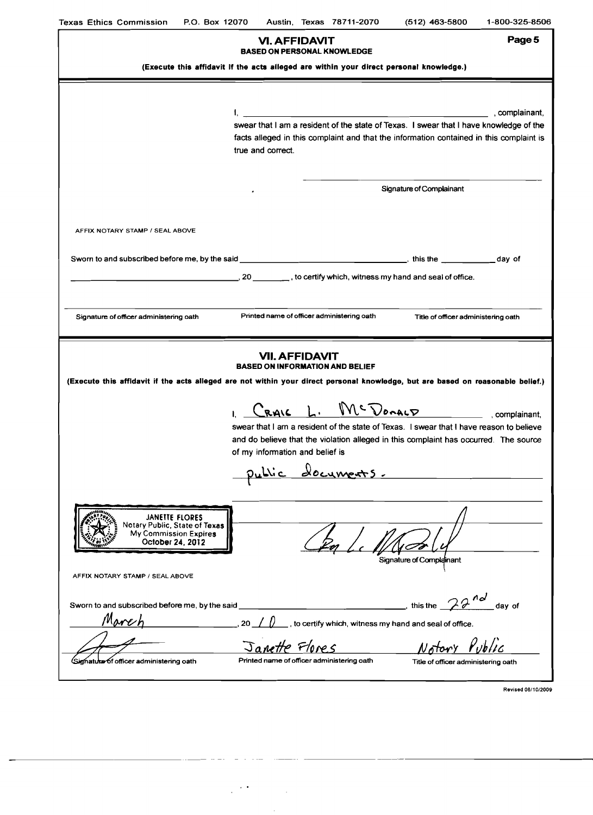| <b>Texas Ethics Commission</b><br>P.O. Box 12070                                                                                                                                                   |                                 |                      |  | Austin, Texas 78711-2070                   | $(512)$ 463-5800                                                                                                                                                                  | 1-800-325-8506 |  |  |  |
|----------------------------------------------------------------------------------------------------------------------------------------------------------------------------------------------------|---------------------------------|----------------------|--|--------------------------------------------|-----------------------------------------------------------------------------------------------------------------------------------------------------------------------------------|----------------|--|--|--|
|                                                                                                                                                                                                    |                                 | <b>VI. AFFIDAVIT</b> |  | <b>BASED ON PERSONAL KNOWLEDGE</b>         |                                                                                                                                                                                   | Page 5         |  |  |  |
| (Execute this affidavit if the acts alleged are within your direct personal knowledge.)                                                                                                            |                                 |                      |  |                                            |                                                                                                                                                                                   |                |  |  |  |
|                                                                                                                                                                                                    |                                 |                      |  |                                            |                                                                                                                                                                                   |                |  |  |  |
|                                                                                                                                                                                                    | true and correct.               |                      |  |                                            | swear that I am a resident of the state of Texas. I swear that I have knowledge of the<br>facts alleged in this complaint and that the information contained in this complaint is | , complainant, |  |  |  |
|                                                                                                                                                                                                    |                                 |                      |  |                                            | Signature of Complainant                                                                                                                                                          |                |  |  |  |
| AFFIX NOTARY STAMP / SEAL ABOVE                                                                                                                                                                    |                                 |                      |  |                                            |                                                                                                                                                                                   |                |  |  |  |
|                                                                                                                                                                                                    |                                 |                      |  |                                            |                                                                                                                                                                                   |                |  |  |  |
|                                                                                                                                                                                                    |                                 |                      |  |                                            | 20 \, to certify which, witness my hand and seal of office.                                                                                                                       |                |  |  |  |
|                                                                                                                                                                                                    |                                 |                      |  |                                            |                                                                                                                                                                                   |                |  |  |  |
| Signature of officer administering oath                                                                                                                                                            |                                 |                      |  | Printed name of officer administering oath | Title of officer administering oath                                                                                                                                               |                |  |  |  |
| <b>VII. AFFIDAVIT</b><br><b>BASED ON INFORMATION AND BELIEF</b><br>(Execute this affidavit if the acts alleged are not within your direct personal knowledge, but are based on reasonable belief.) |                                 |                      |  |                                            |                                                                                                                                                                                   |                |  |  |  |
|                                                                                                                                                                                                    |                                 |                      |  |                                            | CRAIG L. MCDOMALD complainant.                                                                                                                                                    |                |  |  |  |
|                                                                                                                                                                                                    | of my information and belief is |                      |  | <u>public documents.</u>                   | swear that I am a resident of the state of Texas. I swear that I have reason to believe<br>and do believe that the violation alleged in this complaint has occurred. The source   |                |  |  |  |
| JANETTE FLORES<br>Notary Public, State of Texas<br>My Commission Expires<br>October 24, 2012                                                                                                       |                                 |                      |  |                                            | Signature of Complainant                                                                                                                                                          |                |  |  |  |
| AFFIX NOTARY STAMP / SEAL ABOVE                                                                                                                                                                    |                                 |                      |  |                                            |                                                                                                                                                                                   |                |  |  |  |
| Sworn to and subscribed before me, by the said<br>March                                                                                                                                            |                                 |                      |  |                                            | $\overline{\phantom{a}}$ this the $\overline{\phantom{a}}$ $\overline{\phantom{a}}$ day of<br>$\frac{1}{2}$ , to certify which, witness my hand and seal of office.               |                |  |  |  |
|                                                                                                                                                                                                    |                                 | Janette Flores       |  |                                            | Notory Public                                                                                                                                                                     |                |  |  |  |
| Signature of officer administering oath                                                                                                                                                            |                                 |                      |  | Printed name of officer administering oath | Title of officer administering oath                                                                                                                                               |                |  |  |  |

 $\mathcal{L}^{\text{max}}_{\text{max}}$ 

Revised 06/1012009